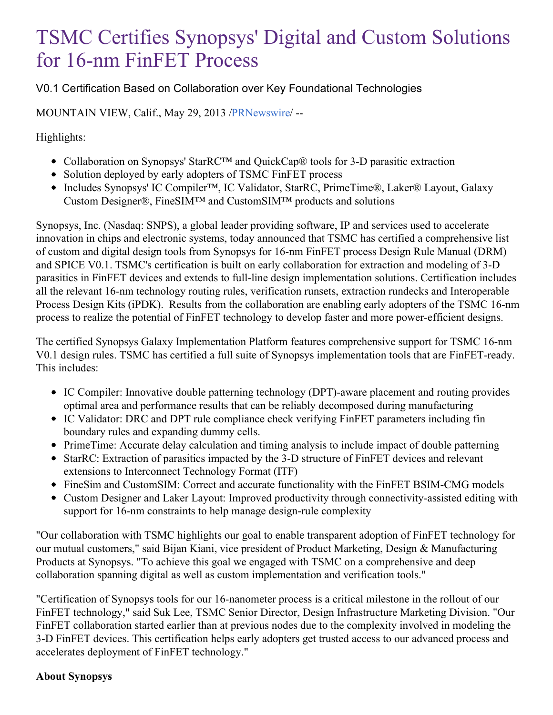## TSMC Certifies Synopsys' Digital and Custom Solutions for 16-nm FinFET Process

V0.1 Certification Based on Collaboration over Key Foundational Technologies

MOUNTAIN VIEW, Calif., May 29, 2013 [/PRNewswire](http://www.prnewswire.com/)/ --

Highlights:

- Collaboration on Synopsys' StarRC™ and QuickCap® tools for 3-D parasitic extraction
- Solution deployed by early adopters of TSMC FinFET process
- Includes Synopsys' IC Compiler™, IC Validator, StarRC, PrimeTime®, Laker® Layout, Galaxy Custom Designer®, FineSIM™ and CustomSIM™ products and solutions

Synopsys, Inc. (Nasdaq: SNPS), a global leader providing software, IP and services used to accelerate innovation in chips and electronic systems, today announced that TSMC has certified a comprehensive list of custom and digital design tools from Synopsys for 16-nm FinFET process Design Rule Manual (DRM) and SPICE V0.1. TSMC's certification is built on early collaboration for extraction and modeling of 3-D parasitics in FinFET devices and extends to full-line design implementation solutions. Certification includes all the relevant 16-nm technology routing rules, verification runsets, extraction rundecks and Interoperable Process Design Kits (iPDK). Results from the collaboration are enabling early adopters of the TSMC 16-nm process to realize the potential of FinFET technology to develop faster and more power-efficient designs.

The certified Synopsys Galaxy Implementation Platform features comprehensive support for TSMC 16-nm V0.1 design rules. TSMC has certified a full suite of Synopsys implementation tools that are FinFET-ready. This includes:

- IC Compiler: Innovative double patterning technology (DPT)-aware placement and routing provides optimal area and performance results that can be reliably decomposed during manufacturing
- IC Validator: DRC and DPT rule compliance check verifying FinFET parameters including fin boundary rules and expanding dummy cells.
- PrimeTime: Accurate delay calculation and timing analysis to include impact of double patterning
- StarRC: Extraction of parasitics impacted by the 3-D structure of FinFET devices and relevant extensions to Interconnect Technology Format (ITF)
- FineSim and CustomSIM: Correct and accurate functionality with the FinFET BSIM-CMG models
- Custom Designer and Laker Layout: Improved productivity through connectivity-assisted editing with support for 16-nm constraints to help manage design-rule complexity

"Our collaboration with TSMC highlights our goal to enable transparent adoption of FinFET technology for our mutual customers," said Bijan Kiani, vice president of Product Marketing, Design & Manufacturing Products at Synopsys. "To achieve this goal we engaged with TSMC on a comprehensive and deep collaboration spanning digital as well as custom implementation and verification tools."

"Certification of Synopsys tools for our 16-nanometer process is a critical milestone in the rollout of our FinFET technology," said Suk Lee, TSMC Senior Director, Design Infrastructure Marketing Division. "Our FinFET collaboration started earlier than at previous nodes due to the complexity involved in modeling the 3-D FinFET devices. This certification helps early adopters get trusted access to our advanced process and accelerates deployment of FinFET technology."

## **About Synopsys**